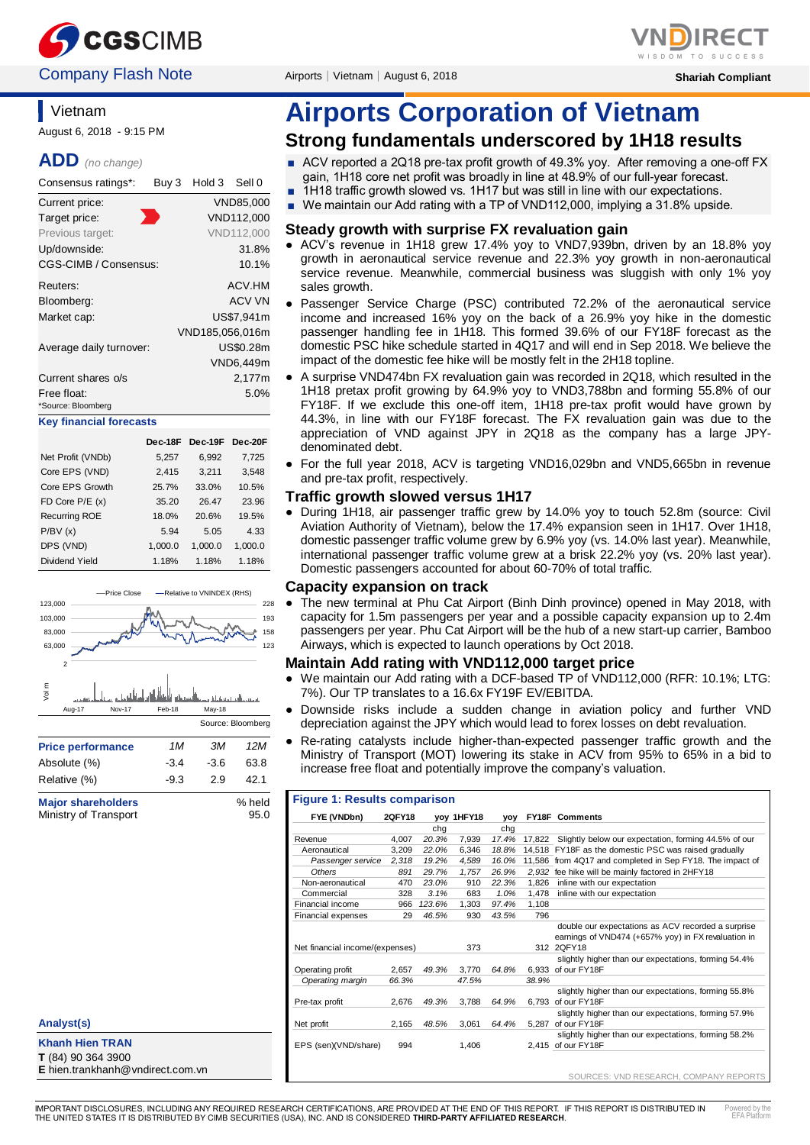

## **Company Flash Note** Airports│Vietnam│August 6, 2018 **Shariah Compliant** Shariah Compliant

# **Vietnam**

August 6, 2018 - 9:15 PM

### **ADD** *(no change)*

| Consensus ratings*:            | Buy 3 | Hold 3          | Sell 0        |
|--------------------------------|-------|-----------------|---------------|
| Current price:                 |       |                 | VND85.000     |
| Target price:                  |       |                 | VND112,000    |
| Previous target:               |       |                 | VND112.000    |
| Up/downside:                   |       |                 | 31.8%         |
| CGS-CIMB / Consensus:          |       |                 | 10.1%         |
| Reuters:                       |       |                 | ACV.HM        |
| Bloomberg:                     |       |                 | <b>ACV VN</b> |
| Market cap:                    |       |                 | US\$7.941m    |
|                                |       | VND185,056,016m |               |
| Average daily turnover:        |       |                 | US\$0.28m     |
|                                |       |                 | VND6,449m     |
| Current shares o/s             |       |                 | 2,177m        |
| Free float:                    |       |                 | 5.0%          |
| *Source: Bloomberg             |       |                 |               |
| <b>Key financial forecasts</b> |       |                 |               |
|                                |       |                 |               |

|                    | Dec-18F | Dec-19F | Dec-20F |
|--------------------|---------|---------|---------|
| Net Profit (VNDb)  | 5,257   | 6,992   | 7,725   |
| Core EPS (VND)     | 2,415   | 3,211   | 3,548   |
| Core EPS Growth    | 25.7%   | 33.0%   | 10.5%   |
| $FD$ Core $P/E(x)$ | 35.20   | 26.47   | 23.96   |
| Recurring ROE      | 18.0%   | 20.6%   | 19.5%   |
| P/BV(x)            | 5.94    | 5.05    | 4.33    |
| DPS (VND)          | 1,000.0 | 1,000.0 | 1,000.0 |
| Dividend Yield     | 1.18%   | 1.18%   | 1.18%   |



Ministry of Transport 95.0

#### **Analyst(s)**

**Khanh Hien TRAN T** (84) 90 364 3900

**E** hien.trankhanh@vndirect.com.vn

# **Airports Corporation of Vietnam**

# **Strong fundamentals underscored by 1H18 results**

- ACV reported a 2Q18 pre-tax profit growth of 49.3% yoy. After removing a one-off FX gain, 1H18 core net profit was broadly in line at 48.9% of our full-year forecast.
- 1H18 traffic growth slowed vs. 1H17 but was still in line with our expectations.
- We maintain our Add rating with a TP of VND112,000, implying a 31.8% upside.

#### **Steady growth with surprise FX revaluation gain**

- ACV's revenue in 1H18 grew 17.4% yoy to VND7,939bn, driven by an 18.8% yoy growth in aeronautical service revenue and 22.3% yoy growth in non-aeronautical service revenue. Meanwhile, commercial business was sluggish with only 1% yoy sales growth.
- Passenger Service Charge (PSC) contributed 72.2% of the aeronautical service income and increased 16% yoy on the back of a 26.9% yoy hike in the domestic passenger handling fee in 1H18. This formed 39.6% of our FY18F forecast as the domestic PSC hike schedule started in 4Q17 and will end in Sep 2018. We believe the impact of the domestic fee hike will be mostly felt in the 2H18 topline.
- A surprise VND474bn FX revaluation gain was recorded in 2Q18, which resulted in the 1H18 pretax profit growing by 64.9% yoy to VND3,788bn and forming 55.8% of our FY18F. If we exclude this one-off item, 1H18 pre-tax profit would have grown by 44.3%, in line with our FY18F forecast. The FX revaluation gain was due to the appreciation of VND against JPY in 2Q18 as the company has a large JPYdenominated debt.
- For the full year 2018, ACV is targeting VND16,029bn and VND5,665bn in revenue and pre-tax profit, respectively.

#### **Traffic growth slowed versus 1H17**

● During 1H18, air passenger traffic grew by 14.0% yoy to touch 52.8m (source: Civil Aviation Authority of Vietnam)*,* below the 17.4% expansion seen in 1H17. Over 1H18, domestic passenger traffic volume grew by 6.9% yoy (vs. 14.0% last year). Meanwhile, international passenger traffic volume grew at a brisk 22.2% yoy (vs. 20% last year). Domestic passengers accounted for about 60-70% of total traffic.

#### **Capacity expansion on track**

● The new terminal at Phu Cat Airport (Binh Dinh province) opened in May 2018, with capacity for 1.5m passengers per year and a possible capacity expansion up to 2.4m passengers per year. Phu Cat Airport will be the hub of a new start-up carrier, Bamboo Airways, which is expected to launch operations by Oct 2018.

#### **Maintain Add rating with VND112,000 target price**

- We maintain our Add rating with a DCF-based TP of VND112,000 (RFR: 10.1%; LTG: 7%). Our TP translates to a 16.6x FY19F EV/EBITDA.
- Downside risks include a sudden change in aviation policy and further VND depreciation against the JPY which would lead to forex losses on debt revaluation.
- Re-rating catalysts include higher-than-expected passenger traffic growth and the Ministry of Transport (MOT) lowering its stake in ACV from 95% to 65% in a bid to increase free float and potentially improve the company's valuation.

| <b>Figure 1: Results comparison</b> |               |        |            |            |        |                                                                                                                         |  |
|-------------------------------------|---------------|--------|------------|------------|--------|-------------------------------------------------------------------------------------------------------------------------|--|
| FYE (VNDbn)                         | <b>2QFY18</b> |        | yoy 1HFY18 | <b>VOV</b> |        | <b>FY18F Comments</b>                                                                                                   |  |
|                                     |               | cha    |            | cha        |        |                                                                                                                         |  |
| Revenue                             | 4.007         | 20.3%  | 7,939      | 17.4%      | 17.822 | Slightly below our expectation, forming 44.5% of our                                                                    |  |
| Aeronautical                        | 3.209         | 22.0%  | 6.346      | 18.8%      |        | 14,518 FY18F as the domestic PSC was raised gradually                                                                   |  |
| Passenger service                   | 2,318         | 19.2%  | 4,589      | 16.0%      |        | 11,586 from 4Q17 and completed in Sep FY18. The impact of                                                               |  |
| Others                              | 891           | 29.7%  | 1.757      | 26.9%      | 2.932  | fee hike will be mainly factored in 2HFY18                                                                              |  |
| Non-aeronautical                    | 470           | 23.0%  | 910        | 22.3%      | 1.826  | inline with our expectation                                                                                             |  |
| Commercial                          | 328           | 3.1%   | 683        | 1.0%       | 1.478  | inline with our expectation                                                                                             |  |
| Financial income                    | 966           | 123.6% | 1,303      | 97.4%      | 1,108  |                                                                                                                         |  |
| Financial expenses                  | 29            | 46.5%  | 930        | 43.5%      | 796    |                                                                                                                         |  |
| Net financial income/(expenses)     |               |        | 373        |            |        | double our expectations as ACV recorded a surprise<br>earnings of VND474 (+657% yoy) in FX revaluation in<br>312 2QFY18 |  |
|                                     |               |        |            |            |        | slightly higher than our expectations, forming 54.4%                                                                    |  |
| Operating profit                    | 2.657         | 49.3%  | 3.770      | 64.8%      |        | 6.933 of our FY18F                                                                                                      |  |
| Operating margin                    | 66.3%         |        | 47.5%      |            | 38.9%  |                                                                                                                         |  |
| Pre-tax profit                      | 2.676         | 49.3%  | 3.788      | 64.9%      | 6.793  | slightly higher than our expectations, forming 55.8%<br>of our FY18F                                                    |  |
|                                     |               |        |            |            |        | slightly higher than our expectations, forming 57.9%                                                                    |  |
| Net profit                          | 2.165         | 48.5%  | 3.061      | 64.4%      | 5.287  | of our FY18F                                                                                                            |  |
| EPS (sen)(VND/share)                | 994           |        | 1.406      |            |        | slightly higher than our expectations, forming 58.2%<br>2,415 of our FY18F                                              |  |
|                                     |               |        |            |            |        | SOURCES: VND RESEARCH, COMPANY REPORTS                                                                                  |  |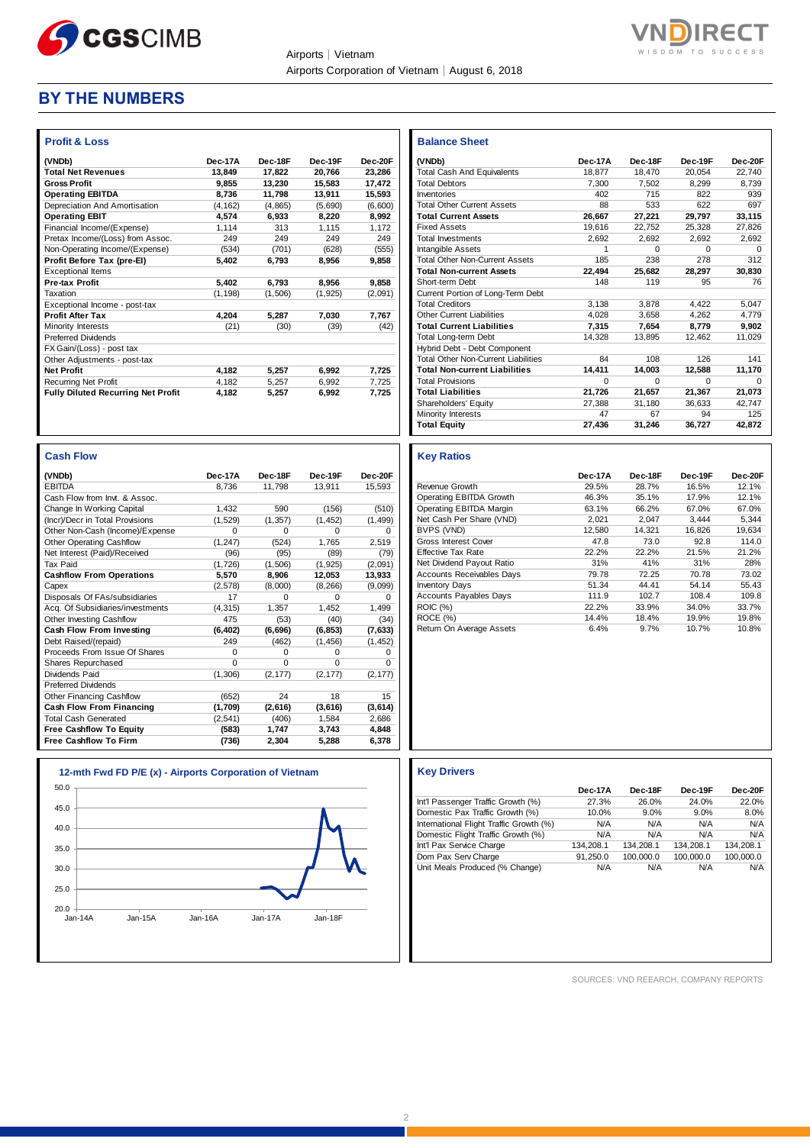

Airports│Vietnam Airports Corporation of Vietnam│August 6, 2018



## **BY THE NUMBERS**

| <b>Profit &amp; Loss</b>                  |          |         |          |         |
|-------------------------------------------|----------|---------|----------|---------|
| (VNDb)                                    | Dec-17A  | Dec-18F | Dec-19F  | Dec-20F |
| <b>Total Net Revenues</b>                 | 13,849   | 17.822  | 20,766   | 23,286  |
| <b>Gross Profit</b>                       | 9.855    | 13.230  | 15,583   | 17,472  |
| <b>Operating EBITDA</b>                   | 8,736    | 11,798  | 13,911   | 15,593  |
| Depreciation And Amortisation             | (4, 162) | (4,865) | (5,690)  | (6,600) |
| <b>Operating EBIT</b>                     | 4,574    | 6,933   | 8,220    | 8,992   |
| Financial Income/(Expense)                | 1.114    | 313     | 1.115    | 1.172   |
| Pretax Income/(Loss) from Assoc.          | 249      | 249     | 249      | 249     |
| Non-Operating Income/(Expense)            | (534)    | (701)   | (628)    | (555)   |
| Profit Before Tax (pre-El)                | 5.402    | 6,793   | 8,956    | 9,858   |
| <b>Exceptional Items</b>                  |          |         |          |         |
| <b>Pre-tax Profit</b>                     | 5,402    | 6,793   | 8,956    | 9,858   |
| Taxation                                  | (1, 198) | (1,506) | (1, 925) | (2,091) |
| Exceptional Income - post-tax             |          |         |          |         |
| <b>Profit After Tax</b>                   | 4,204    | 5.287   | 7,030    | 7,767   |
| Minority Interests                        | (21)     | (30)    | (39)     | (42)    |
| <b>Preferred Dividends</b>                |          |         |          |         |
| FX Gain/(Loss) - post tax                 |          |         |          |         |
| Other Adjustments - post-tax              |          |         |          |         |
| <b>Net Profit</b>                         | 4,182    | 5,257   | 6,992    | 7,725   |
| <b>Recurring Net Profit</b>               | 4,182    | 5.257   | 6,992    | 7,725   |
| <b>Fully Diluted Recurring Net Profit</b> | 4,182    | 5,257   | 6,992    | 7.725   |

| <b>Cash Flow</b>                 |          |          |          |          |
|----------------------------------|----------|----------|----------|----------|
| (VNDb)                           | Dec-17A  | Dec-18F  | Dec-19F  | Dec-20F  |
| <b>EBITDA</b>                    | 8.736    | 11,798   | 13,911   | 15,593   |
| Cash Flow from Invt. & Assoc.    |          |          |          |          |
| Change In Working Capital        | 1.432    | 590      | (156)    | (510)    |
| (Incr)/Decr in Total Provisions  | (1,529)  | (1, 357) | (1, 452) | (1,499)  |
| Other Non-Cash (Income)/Expense  | $\Omega$ | $\Omega$ | $\Omega$ | $\Omega$ |
| <b>Other Operating Cashflow</b>  | (1, 247) | (524)    | 1,765    | 2,519    |
| Net Interest (Paid)/Received     | (96)     | (95)     | (89)     | (79)     |
| Tax Paid                         | (1,726)  | (1,506)  | (1, 925) | (2,091)  |
| <b>Cashflow From Operations</b>  | 5,570    | 8,906    | 12,053   | 13,933   |
| Capex                            | (2,578)  | (8,000)  | (8, 266) | (9,099)  |
| Disposals Of FAs/subsidiaries    | 17       | $\Omega$ | $\Omega$ | $\Omega$ |
| Acq. Of Subsidiaries/investments | (4, 315) | 1.357    | 1,452    | 1,499    |
| Other Investing Cashflow         | 475      | (53)     | (40)     | (34)     |
| Cash Flow From Investing         | (6, 402) | (6,696)  | (6, 853) | (7,633)  |
| Debt Raised/(repaid)             | 249      | (462)    | (1, 456) | (1, 452) |
| Proceeds From Issue Of Shares    | $\Omega$ | $\Omega$ | $\Omega$ | 0        |
| <b>Shares Repurchased</b>        | $\Omega$ | $\Omega$ | $\Omega$ | $\Omega$ |
| Dividends Paid                   | (1, 306) | (2, 177) | (2, 177) | (2, 177) |
| <b>Preferred Dividends</b>       |          |          |          |          |
| Other Financing Cashflow         | (652)    | 24       | 18       | 15       |
| Cash Flow From Financing         | (1,709)  | (2,616)  | (3,616)  | (3,614)  |
| <b>Total Cash Generated</b>      | (2,541)  | (406)    | 1,584    | 2,686    |
| <b>Free Cashflow To Equity</b>   | (583)    | 1,747    | 3,743    | 4,848    |
| <b>Free Cashflow To Firm</b>     | (736)    | 2,304    | 5,288    | 6,378    |

| 0                 | 0        | 0        |                                         |           |           |           |           |
|-------------------|----------|----------|-----------------------------------------|-----------|-----------|-----------|-----------|
| 0                 | $\Omega$ | $\Omega$ |                                         |           |           |           |           |
| (2, 177)          | (2, 177) | (2, 177) |                                         |           |           |           |           |
|                   |          |          |                                         |           |           |           |           |
| 24                | 18       | 15       |                                         |           |           |           |           |
| (2,616)           | (3,616)  | (3,614)  |                                         |           |           |           |           |
| (406)             | 1,584    | 2,686    |                                         |           |           |           |           |
| 1,747             | 3,743    | 4,848    |                                         |           |           |           |           |
| 2,304             | 5,288    | 6,378    |                                         |           |           |           |           |
|                   |          |          |                                         |           |           |           |           |
|                   |          |          |                                         |           |           |           |           |
| ration of Vietnam |          |          | <b>Key Drivers</b>                      |           |           |           |           |
|                   |          |          |                                         | Dec-17A   | Dec-18F   | Dec-19F   | Dec-20F   |
|                   |          |          | Int'l Passenger Traffic Growth (%)      | 27.3%     | 26.0%     | 24.0%     | 22.0%     |
|                   |          |          | Domestic Pax Traffic Growth (%)         | 10.0%     | 9.0%      | 9.0%      | 8.0%      |
|                   |          |          | International Flight Traffic Growth (%) | N/A       | N/A       | N/A       | N/A       |
|                   |          |          | Domestic Flight Traffic Growth (%)      | N/A       | N/A       | N/A       | N/A       |
|                   |          |          | Int'l Pax Service Charge                | 134,208.1 | 134,208.1 | 134,208.1 | 134,208.1 |
|                   |          |          | Dom Pax Serv Charge                     | 91,250.0  | 100,000.0 | 100,000.0 | 100,000.0 |
|                   |          |          | Unit Meals Produced (% Change)          | N/A       | N/A       | N/A       | N/A       |
|                   |          |          |                                         |           |           |           |           |
|                   |          |          |                                         |           |           |           |           |
|                   |          |          |                                         |           |           |           |           |

| SOURCES: VND REEARCH, COMPANY REPORTS |  |  |
|---------------------------------------|--|--|
|                                       |  |  |

| <b>Balance Sheet</b>                       |          |          |          |          |
|--------------------------------------------|----------|----------|----------|----------|
| (VNDb)                                     | Dec-17A  | Dec-18F  | Dec-19F  | Dec-20F  |
| <b>Total Cash And Equivalents</b>          | 18.877   | 18,470   | 20,054   | 22.740   |
| <b>Total Debtors</b>                       | 7.300    | 7.502    | 8.299    | 8.739    |
| Inventories                                | 402      | 715      | 822      | 939      |
| <b>Total Other Current Assets</b>          | 88       | 533      | 622      | 697      |
| <b>Total Current Assets</b>                | 26,667   | 27,221   | 29,797   | 33,115   |
| <b>Fixed Assets</b>                        | 19.616   | 22.752   | 25.328   | 27.826   |
| <b>Total Investments</b>                   | 2.692    | 2,692    | 2,692    | 2.692    |
| Intangible Assets                          | 1        | $\Omega$ | $\Omega$ | $\Omega$ |
| <b>Total Other Non-Current Assets</b>      | 185      | 238      | 278      | 312      |
| <b>Total Non-current Assets</b>            | 22.494   | 25.682   | 28.297   | 30.830   |
| Short-term Debt                            | 148      | 119      | 95       | 76       |
| Current Portion of Long-Term Debt          |          |          |          |          |
| <b>Total Creditors</b>                     | 3,138    | 3,878    | 4,422    | 5,047    |
| <b>Other Current Liabilities</b>           | 4.028    | 3.658    | 4.262    | 4.779    |
| <b>Total Current Liabilities</b>           | 7.315    | 7.654    | 8.779    | 9.902    |
| Total Long-term Debt                       | 14,328   | 13,895   | 12,462   | 11,029   |
| Hybrid Debt - Debt Component               |          |          |          |          |
| <b>Total Other Non-Current Liabilities</b> | 84       | 108      | 126      | 141      |
| <b>Total Non-current Liabilities</b>       | 14,411   | 14,003   | 12,588   | 11,170   |
| <b>Total Provisions</b>                    | $\Omega$ | $\Omega$ | $\Omega$ | O        |
| <b>Total Liabilities</b>                   | 21,726   | 21,657   | 21,367   | 21,073   |
| Shareholders' Equity                       | 27.388   | 31.180   | 36.633   | 42.747   |
| Minority Interests                         | 47       | 67       | 94       | 125      |
| <b>Total Equity</b>                        | 27,436   | 31,246   | 36,727   | 42,872   |

#### **Key Ratios**

|                                  | Dec-17A | Dec-18F | Dec-19F | Dec-20F |
|----------------------------------|---------|---------|---------|---------|
| Revenue Growth                   | 29.5%   | 28.7%   | 16.5%   | 12.1%   |
| Operating EBITDA Growth          | 46.3%   | 35.1%   | 17.9%   | 12.1%   |
| Operating EBITDA Margin          | 63.1%   | 66.2%   | 67.0%   | 67.0%   |
| Net Cash Per Share (VND)         | 2.021   | 2.047   | 3.444   | 5.344   |
| BVPS (VND)                       | 12,580  | 14.321  | 16.826  | 19.634  |
| Gross Interest Cover             | 47.8    | 73.0    | 92.8    | 114.0   |
| <b>Effective Tax Rate</b>        | 22.2%   | 22.2%   | 21.5%   | 21.2%   |
| Net Dividend Payout Ratio        | 31%     | 41%     | 31%     | 28%     |
| <b>Accounts Receivables Days</b> | 79.78   | 72.25   | 70.78   | 73.02   |
| <b>Inventory Days</b>            | 51.34   | 44.41   | 54.14   | 55.43   |
| <b>Accounts Payables Days</b>    | 111.9   | 102.7   | 108.4   | 109.8   |
| <b>ROIC (%)</b>                  | 22.2%   | 33.9%   | 34.0%   | 33.7%   |
| ROCE (%)                         | 14.4%   | 18.4%   | 19.9%   | 19.8%   |
| Return On Average Assets         | 6.4%    | 9.7%    | 10.7%   | 10.8%   |

# $20.0$  Jan-14A 25.0 30.0 35.0 40.0 45.0 50.0 Jan-14A Jan-15A Jan-16A Jan-17A Jan-18F **12-mth Fwd FD P/E (x) - Airports Corpor**

2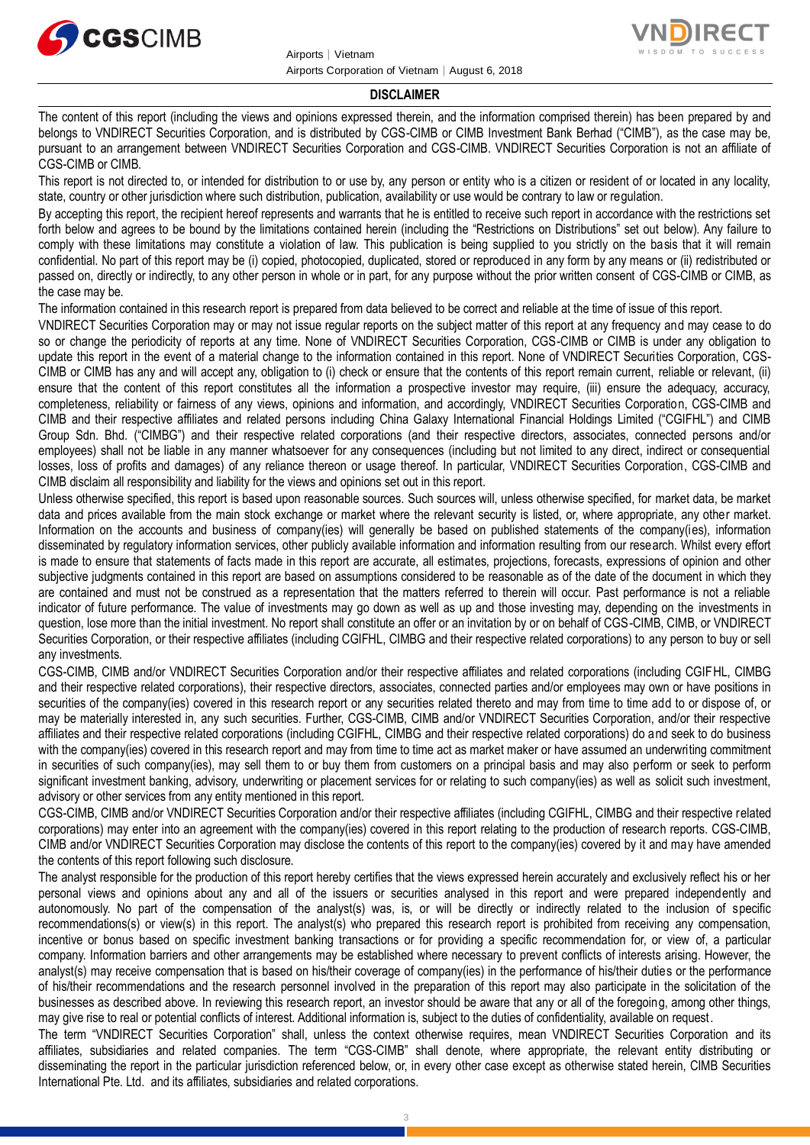



#### **DISCLAIMER**

The content of this report (including the views and opinions expressed therein, and the information comprised therein) has been prepared by and belongs to VNDIRECT Securities Corporation, and is distributed by CGS-CIMB or CIMB Investment Bank Berhad ("CIMB"), as the case may be, pursuant to an arrangement between VNDIRECT Securities Corporation and CGS-CIMB. VNDIRECT Securities Corporation is not an affiliate of CGS-CIMB or CIMB.

This report is not directed to, or intended for distribution to or use by, any person or entity who is a citizen or resident of or located in any locality, state, country or other jurisdiction where such distribution, publication, availability or use would be contrary to law or regulation.

By accepting this report, the recipient hereof represents and warrants that he is entitled to receive such report in accordance with the restrictions set forth below and agrees to be bound by the limitations contained herein (including the "Restrictions on Distributions" set out below). Any failure to comply with these limitations may constitute a violation of law. This publication is being supplied to you strictly on the basis that it will remain confidential. No part of this report may be (i) copied, photocopied, duplicated, stored or reproduced in any form by any means or (ii) redistributed or passed on, directly or indirectly, to any other person in whole or in part, for any purpose without the prior written consent of CGS-CIMB or CIMB, as the case may be.

The information contained in this research report is prepared from data believed to be correct and reliable at the time of issue of this report.

VNDIRECT Securities Corporation may or may not issue regular reports on the subject matter of this report at any frequency and may cease to do so or change the periodicity of reports at any time. None of VNDIRECT Securities Corporation, CGS-CIMB or CIMB is under any obligation to update this report in the event of a material change to the information contained in this report. None of VNDIRECT Securities Corporation, CGS-CIMB or CIMB has any and will accept any, obligation to (i) check or ensure that the contents of this report remain current, reliable or relevant, (ii) ensure that the content of this report constitutes all the information a prospective investor may require, (iii) ensure the adequacy, accuracy, completeness, reliability or fairness of any views, opinions and information, and accordingly, VNDIRECT Securities Corporation, CGS-CIMB and CIMB and their respective affiliates and related persons including China Galaxy International Financial Holdings Limited ("CGIFHL") and CIMB Group Sdn. Bhd. ("CIMBG") and their respective related corporations (and their respective directors, associates, connected persons and/or employees) shall not be liable in any manner whatsoever for any consequences (including but not limited to any direct, indirect or consequential losses, loss of profits and damages) of any reliance thereon or usage thereof. In particular, VNDIRECT Securities Corporation, CGS-CIMB and CIMB disclaim all responsibility and liability for the views and opinions set out in this report.

Unless otherwise specified, this report is based upon reasonable sources. Such sources will, unless otherwise specified, for market data, be market data and prices available from the main stock exchange or market where the relevant security is listed, or, where appropriate, any other market. Information on the accounts and business of company(ies) will generally be based on published statements of the company(ies), information disseminated by regulatory information services, other publicly available information and information resulting from our research. Whilst every effort is made to ensure that statements of facts made in this report are accurate, all estimates, projections, forecasts, expressions of opinion and other subjective judgments contained in this report are based on assumptions considered to be reasonable as of the date of the document in which they are contained and must not be construed as a representation that the matters referred to therein will occur. Past performance is not a reliable indicator of future performance. The value of investments may go down as well as up and those investing may, depending on the investments in question, lose more than the initial investment. No report shall constitute an offer or an invitation by or on behalf of CGS-CIMB, CIMB, or VNDIRECT Securities Corporation, or their respective affiliates (including CGIFHL, CIMBG and their respective related corporations) to any person to buy or sell any investments.

CGS-CIMB, CIMB and/or VNDIRECT Securities Corporation and/or their respective affiliates and related corporations (including CGIFHL, CIMBG and their respective related corporations), their respective directors, associates, connected parties and/or employees may own or have positions in securities of the company(ies) covered in this research report or any securities related thereto and may from time to time add to or dispose of, or may be materially interested in, any such securities. Further, CGS-CIMB, CIMB and/or VNDIRECT Securities Corporation, and/or their respective affiliates and their respective related corporations (including CGIFHL, CIMBG and their respective related corporations) do and seek to do business with the company(ies) covered in this research report and may from time to time act as market maker or have assumed an underwriting commitment in securities of such company(ies), may sell them to or buy them from customers on a principal basis and may also perform or seek to perform significant investment banking, advisory, underwriting or placement services for or relating to such company(ies) as well as solicit such investment, advisory or other services from any entity mentioned in this report.

CGS-CIMB, CIMB and/or VNDIRECT Securities Corporation and/or their respective affiliates (including CGIFHL, CIMBG and their respective related corporations) may enter into an agreement with the company(ies) covered in this report relating to the production of research reports. CGS-CIMB, CIMB and/or VNDIRECT Securities Corporation may disclose the contents of this report to the company(ies) covered by it and may have amended the contents of this report following such disclosure.

The analyst responsible for the production of this report hereby certifies that the views expressed herein accurately and exclusively reflect his or her personal views and opinions about any and all of the issuers or securities analysed in this report and were prepared independently and autonomously. No part of the compensation of the analyst(s) was, is, or will be directly or indirectly related to the inclusion of specific recommendations(s) or view(s) in this report. The analyst(s) who prepared this research report is prohibited from receiving any compensation, incentive or bonus based on specific investment banking transactions or for providing a specific recommendation for, or view of, a particular company. Information barriers and other arrangements may be established where necessary to prevent conflicts of interests arising. However, the analyst(s) may receive compensation that is based on his/their coverage of company(ies) in the performance of his/their duties or the performance of his/their recommendations and the research personnel involved in the preparation of this report may also participate in the solicitation of the businesses as described above. In reviewing this research report, an investor should be aware that any or all of the foregoing, among other things, may give rise to real or potential conflicts of interest. Additional information is, subject to the duties of confidentiality, available on request.

The term "VNDIRECT Securities Corporation" shall, unless the context otherwise requires, mean VNDIRECT Securities Corporation and its affiliates, subsidiaries and related companies. The term "CGS-CIMB" shall denote, where appropriate, the relevant entity distributing or disseminating the report in the particular jurisdiction referenced below, or, in every other case except as otherwise stated herein, CIMB Securities International Pte. Ltd. and its affiliates, subsidiaries and related corporations.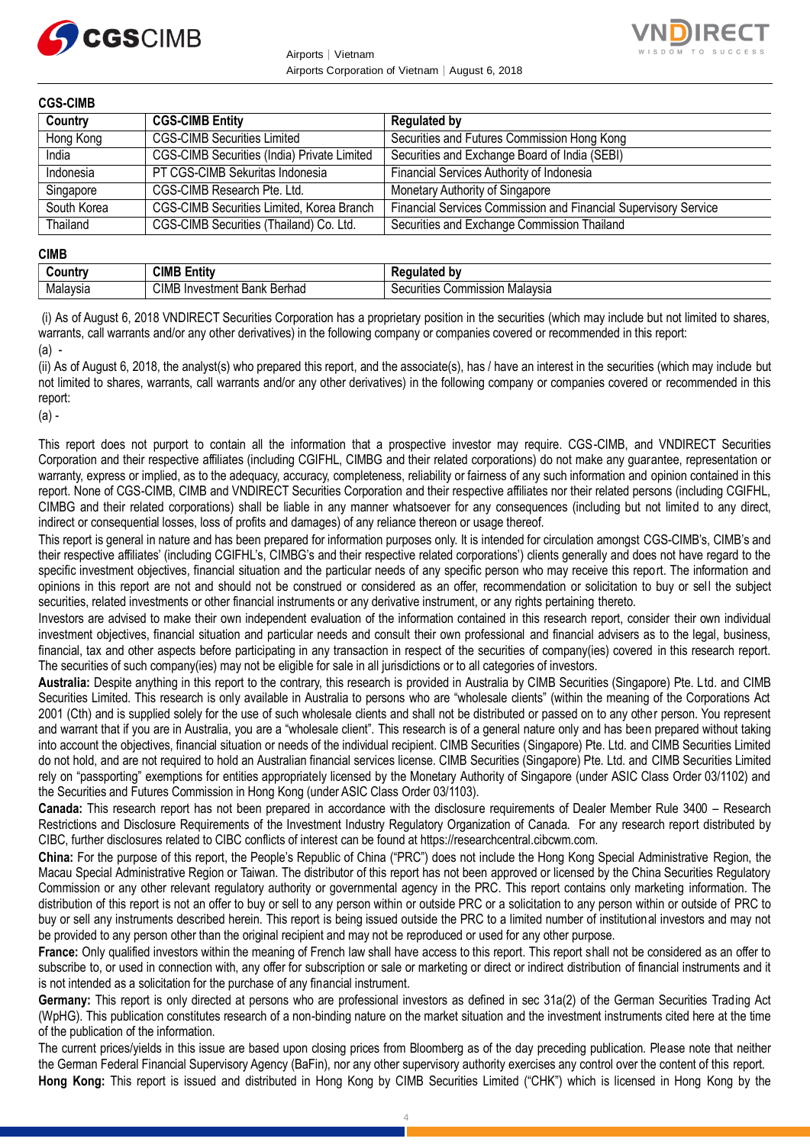

Airports│Vietnam Airports Corporation of Vietnam│August 6, 2018



**CGS-CIMB**

| uuu-viitiu  |                                                    |                                                                 |
|-------------|----------------------------------------------------|-----------------------------------------------------------------|
| Country     | <b>CGS-CIMB Entity</b>                             | <b>Regulated by</b>                                             |
| Hong Kong   | <b>CGS-CIMB Securities Limited</b>                 | Securities and Futures Commission Hong Kong                     |
| India       | <b>CGS-CIMB Securities (India) Private Limited</b> | Securities and Exchange Board of India (SEBI)                   |
| Indonesia   | PT CGS-CIMB Sekuritas Indonesia                    | Financial Services Authority of Indonesia                       |
| Singapore   | CGS-CIMB Research Pte. Ltd.                        | Monetary Authority of Singapore                                 |
| South Korea | CGS-CIMB Securities Limited, Korea Branch          | Financial Services Commission and Financial Supervisory Service |
| Thailand    | CGS-CIMB Securities (Thailand) Co. Ltd.            | Securities and Exchange Commission Thailand                     |

**CIMB**

| ------   |                                                                   |                                        |  |  |  |  |
|----------|-------------------------------------------------------------------|----------------------------------------|--|--|--|--|
| ∶∩⊔ntr   | <b>CIMB</b><br>Entitv                                             | b٧                                     |  |  |  |  |
| Malaysia | <b>CIMB</b><br>Berhad<br>Bank<br>… investment ∶<br>тте.<br>ורה זי | .<br>ommission<br>Malavsia<br>ecunties |  |  |  |  |

(i) As of August 6, 2018 VNDIRECT Securities Corporation has a proprietary position in the securities (which may include but not limited to shares, warrants, call warrants and/or any other derivatives) in the following company or companies covered or recommended in this report: (a) -

(ii) As of August 6, 2018, the analyst(s) who prepared this report, and the associate(s), has / have an interest in the securities (which may include but not limited to shares, warrants, call warrants and/or any other derivatives) in the following company or companies covered or recommended in this report:

 $(a)$  -

This report does not purport to contain all the information that a prospective investor may require. CGS-CIMB, and VNDIRECT Securities Corporation and their respective affiliates (including CGIFHL, CIMBG and their related corporations) do not make any guarantee, representation or warranty, express or implied, as to the adequacy, accuracy, completeness, reliability or fairness of any such information and opinion contained in this report. None of CGS-CIMB, CIMB and VNDIRECT Securities Corporation and their respective affiliates nor their related persons (including CGIFHL, CIMBG and their related corporations) shall be liable in any manner whatsoever for any consequences (including but not limited to any direct, indirect or consequential losses, loss of profits and damages) of any reliance thereon or usage thereof.

This report is general in nature and has been prepared for information purposes only. It is intended for circulation amongst CGS-CIMB's, CIMB's and their respective affiliates' (including CGIFHL's, CIMBG's and their respective related corporations') clients generally and does not have regard to the specific investment objectives, financial situation and the particular needs of any specific person who may receive this report. The information and opinions in this report are not and should not be construed or considered as an offer, recommendation or solicitation to buy or sell the subject securities, related investments or other financial instruments or any derivative instrument, or any rights pertaining thereto.

Investors are advised to make their own independent evaluation of the information contained in this research report, consider their own individual investment objectives, financial situation and particular needs and consult their own professional and financial advisers as to the legal, business, financial, tax and other aspects before participating in any transaction in respect of the securities of company(ies) covered in this research report. The securities of such company(ies) may not be eligible for sale in all jurisdictions or to all categories of investors.

**Australia:** Despite anything in this report to the contrary, this research is provided in Australia by CIMB Securities (Singapore) Pte. Ltd. and CIMB Securities Limited. This research is only available in Australia to persons who are "wholesale clients" (within the meaning of the Corporations Act 2001 (Cth) and is supplied solely for the use of such wholesale clients and shall not be distributed or passed on to any other person. You represent and warrant that if you are in Australia, you are a "wholesale client". This research is of a general nature only and has been prepared without taking into account the objectives, financial situation or needs of the individual recipient. CIMB Securities (Singapore) Pte. Ltd. and CIMB Securities Limited do not hold, and are not required to hold an Australian financial services license. CIMB Securities (Singapore) Pte. Ltd. and CIMB Securities Limited rely on "passporting" exemptions for entities appropriately licensed by the Monetary Authority of Singapore (under ASIC Class Order 03/1102) and the Securities and Futures Commission in Hong Kong (under ASIC Class Order 03/1103).

**Canada:** This research report has not been prepared in accordance with the disclosure requirements of Dealer Member Rule 3400 – Research Restrictions and Disclosure Requirements of the Investment Industry Regulatory Organization of Canada. For any research report distributed by CIBC, further disclosures related to CIBC conflicts of interest can be found at https://researchcentral.cibcwm.com.

**China:** For the purpose of this report, the People's Republic of China ("PRC") does not include the Hong Kong Special Administrative Region, the Macau Special Administrative Region or Taiwan. The distributor of this report has not been approved or licensed by the China Securities Regulatory Commission or any other relevant regulatory authority or governmental agency in the PRC. This report contains only marketing information. The distribution of this report is not an offer to buy or sell to any person within or outside PRC or a solicitation to any person within or outside of PRC to buy or sell any instruments described herein. This report is being issued outside the PRC to a limited number of institutional investors and may not be provided to any person other than the original recipient and may not be reproduced or used for any other purpose.

**France:** Only qualified investors within the meaning of French law shall have access to this report. This report shall not be considered as an offer to subscribe to, or used in connection with, any offer for subscription or sale or marketing or direct or indirect distribution of financial instruments and it is not intended as a solicitation for the purchase of any financial instrument.

**Germany:** This report is only directed at persons who are professional investors as defined in sec 31a(2) of the German Securities Trading Act (WpHG). This publication constitutes research of a non-binding nature on the market situation and the investment instruments cited here at the time of the publication of the information.

The current prices/yields in this issue are based upon closing prices from Bloomberg as of the day preceding publication. Please note that neither the German Federal Financial Supervisory Agency (BaFin), nor any other supervisory authority exercises any control over the content of this report. **Hong Kong:** This report is issued and distributed in Hong Kong by CIMB Securities Limited ("CHK") which is licensed in Hong Kong by the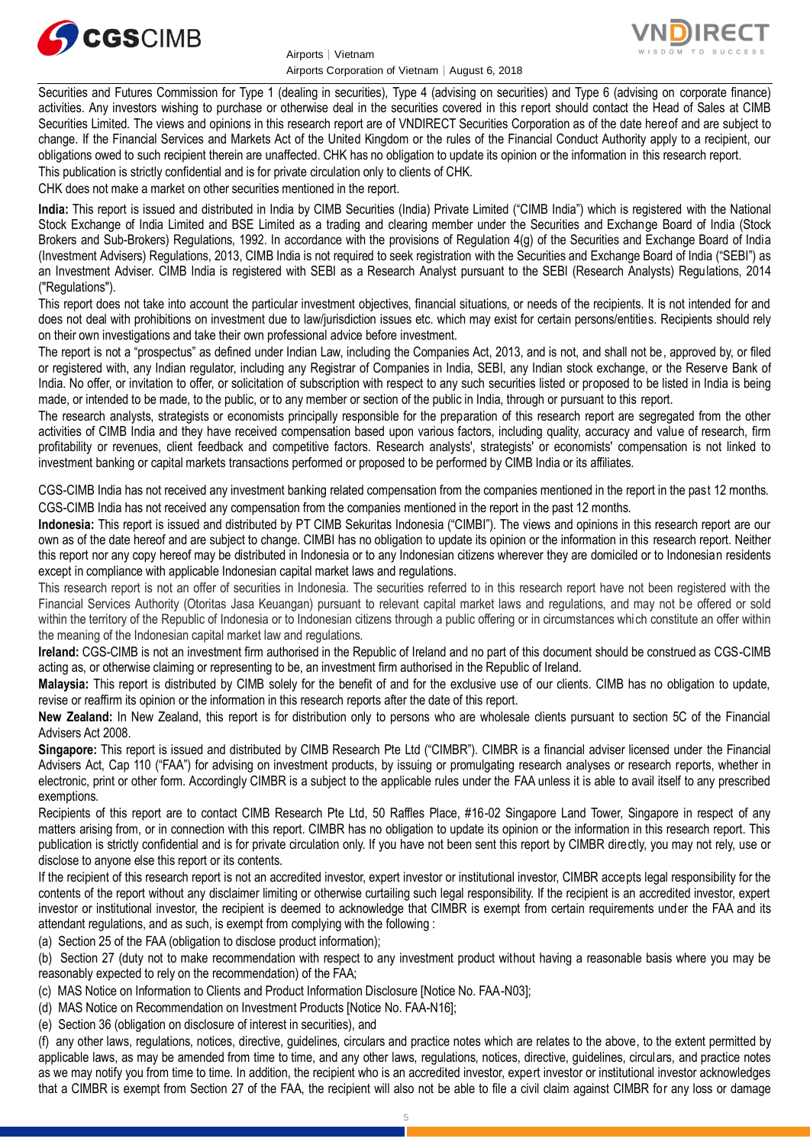

Airports│Vietnam Airports Corporation of Vietnam│August 6, 2018



Securities and Futures Commission for Type 1 (dealing in securities), Type 4 (advising on securities) and Type 6 (advising on corporate finance) activities. Any investors wishing to purchase or otherwise deal in the securities covered in this report should contact the Head of Sales at CIMB Securities Limited. The views and opinions in this research report are of VNDIRECT Securities Corporation as of the date hereof and are subject to change. If the Financial Services and Markets Act of the United Kingdom or the rules of the Financial Conduct Authority apply to a recipient, our obligations owed to such recipient therein are unaffected. CHK has no obligation to update its opinion or the information in this research report. This publication is strictly confidential and is for private circulation only to clients of CHK.

CHK does not make a market on other securities mentioned in the report.

**India:** This report is issued and distributed in India by CIMB Securities (India) Private Limited ("CIMB India") which is registered with the National Stock Exchange of India Limited and BSE Limited as a trading and clearing member under the Securities and Exchange Board of India (Stock Brokers and Sub-Brokers) Regulations, 1992. In accordance with the provisions of Regulation 4(g) of the Securities and Exchange Board of India (Investment Advisers) Regulations, 2013, CIMB India is not required to seek registration with the Securities and Exchange Board of India ("SEBI") as an Investment Adviser. CIMB India is registered with SEBI as a Research Analyst pursuant to the SEBI (Research Analysts) Regulations, 2014 ("Regulations").

This report does not take into account the particular investment objectives, financial situations, or needs of the recipients. It is not intended for and does not deal with prohibitions on investment due to law/jurisdiction issues etc. which may exist for certain persons/entities. Recipients should rely on their own investigations and take their own professional advice before investment.

The report is not a "prospectus" as defined under Indian Law, including the Companies Act, 2013, and is not, and shall not be, approved by, or filed or registered with, any Indian regulator, including any Registrar of Companies in India, SEBI, any Indian stock exchange, or the Reserve Bank of India. No offer, or invitation to offer, or solicitation of subscription with respect to any such securities listed or proposed to be listed in India is being made, or intended to be made, to the public, or to any member or section of the public in India, through or pursuant to this report.

The research analysts, strategists or economists principally responsible for the preparation of this research report are segregated from the other activities of CIMB India and they have received compensation based upon various factors, including quality, accuracy and value of research, firm profitability or revenues, client feedback and competitive factors. Research analysts', strategists' or economists' compensation is not linked to investment banking or capital markets transactions performed or proposed to be performed by CIMB India or its affiliates.

CGS-CIMB India has not received any investment banking related compensation from the companies mentioned in the report in the past 12 months. CGS-CIMB India has not received any compensation from the companies mentioned in the report in the past 12 months.

**Indonesia:** This report is issued and distributed by PT CIMB Sekuritas Indonesia ("CIMBI"). The views and opinions in this research report are our own as of the date hereof and are subject to change. CIMBI has no obligation to update its opinion or the information in this research report. Neither this report nor any copy hereof may be distributed in Indonesia or to any Indonesian citizens wherever they are domiciled or to Indonesian residents except in compliance with applicable Indonesian capital market laws and regulations.

This research report is not an offer of securities in Indonesia. The securities referred to in this research report have not been registered with the Financial Services Authority (Otoritas Jasa Keuangan) pursuant to relevant capital market laws and regulations, and may not be offered or sold within the territory of the Republic of Indonesia or to Indonesian citizens through a public offering or in circumstances which constitute an offer within the meaning of the Indonesian capital market law and regulations.

**Ireland:** CGS-CIMB is not an investment firm authorised in the Republic of Ireland and no part of this document should be construed as CGS-CIMB acting as, or otherwise claiming or representing to be, an investment firm authorised in the Republic of Ireland.

**Malaysia:** This report is distributed by CIMB solely for the benefit of and for the exclusive use of our clients. CIMB has no obligation to update, revise or reaffirm its opinion or the information in this research reports after the date of this report.

**New Zealand:** In New Zealand, this report is for distribution only to persons who are wholesale clients pursuant to section 5C of the Financial Advisers Act 2008.

**Singapore:** This report is issued and distributed by CIMB Research Pte Ltd ("CIMBR"). CIMBR is a financial adviser licensed under the Financial Advisers Act, Cap 110 ("FAA") for advising on investment products, by issuing or promulgating research analyses or research reports, whether in electronic, print or other form. Accordingly CIMBR is a subject to the applicable rules under the FAA unless it is able to avail itself to any prescribed exemptions.

Recipients of this report are to contact CIMB Research Pte Ltd, 50 Raffles Place, #16-02 Singapore Land Tower, Singapore in respect of any matters arising from, or in connection with this report. CIMBR has no obligation to update its opinion or the information in this research report. This publication is strictly confidential and is for private circulation only. If you have not been sent this report by CIMBR directly, you may not rely, use or disclose to anyone else this report or its contents.

If the recipient of this research report is not an accredited investor, expert investor or institutional investor, CIMBR accepts legal responsibility for the contents of the report without any disclaimer limiting or otherwise curtailing such legal responsibility. If the recipient is an accredited investor, expert investor or institutional investor, the recipient is deemed to acknowledge that CIMBR is exempt from certain requirements under the FAA and its attendant regulations, and as such, is exempt from complying with the following :

(a) Section 25 of the FAA (obligation to disclose product information);

(b) Section 27 (duty not to make recommendation with respect to any investment product without having a reasonable basis where you may be reasonably expected to rely on the recommendation) of the FAA;

(c) MAS Notice on Information to Clients and Product Information Disclosure [Notice No. FAA-N03];

(d) MAS Notice on Recommendation on Investment Products [Notice No. FAA-N16];

(e) Section 36 (obligation on disclosure of interest in securities), and

(f) any other laws, regulations, notices, directive, guidelines, circulars and practice notes which are relates to the above, to the extent permitted by applicable laws, as may be amended from time to time, and any other laws, regulations, notices, directive, guidelines, circulars, and practice notes as we may notify you from time to time. In addition, the recipient who is an accredited investor, expert investor or institutional investor acknowledges that a CIMBR is exempt from Section 27 of the FAA, the recipient will also not be able to file a civil claim against CIMBR for any loss or damage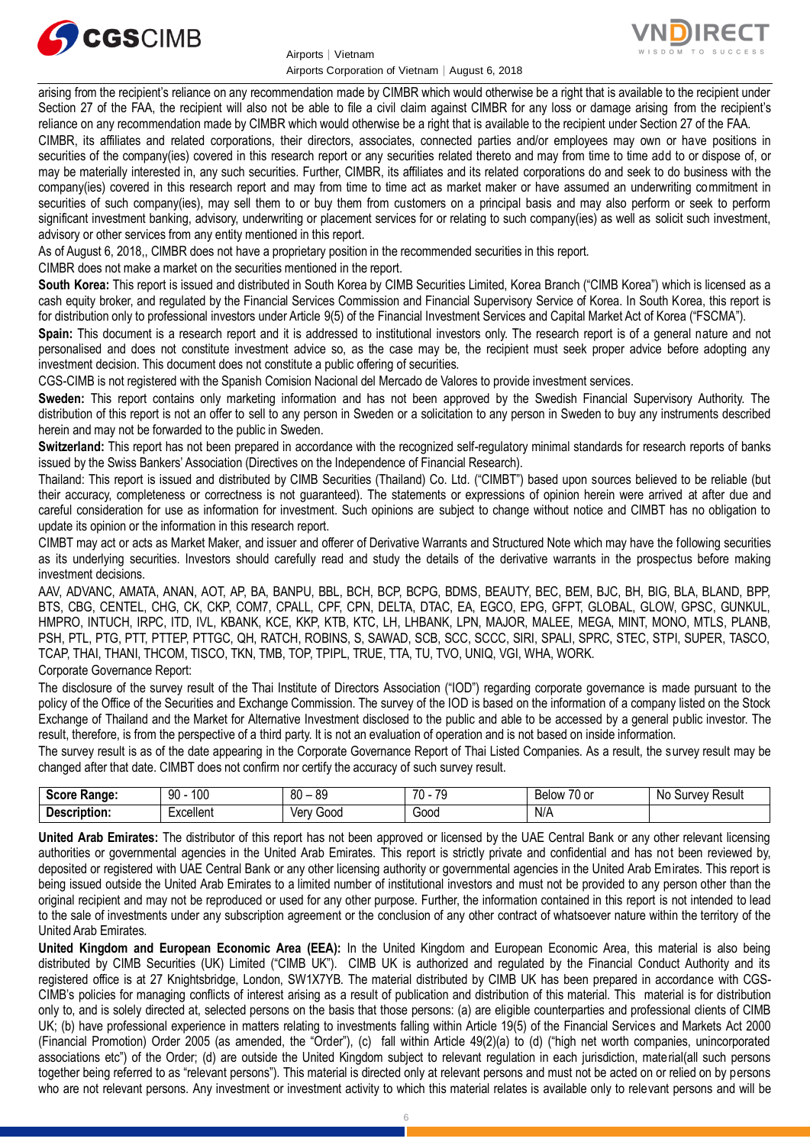

Airports│Vietnam Airports Corporation of Vietnam│August 6, 2018



arising from the recipient's reliance on any recommendation made by CIMBR which would otherwise be a right that is available to the recipient under Section 27 of the FAA, the recipient will also not be able to file a civil claim against CIMBR for any loss or damage arising from the recipient's reliance on any recommendation made by CIMBR which would otherwise be a right that is available to the recipient under Section 27 of the FAA.

CIMBR, its affiliates and related corporations, their directors, associates, connected parties and/or employees may own or have positions in securities of the company(ies) covered in this research report or any securities related thereto and may from time to time add to or dispose of, or may be materially interested in, any such securities. Further, CIMBR, its affiliates and its related corporations do and seek to do business with the company(ies) covered in this research report and may from time to time act as market maker or have assumed an underwriting commitment in securities of such company(ies), may sell them to or buy them from customers on a principal basis and may also perform or seek to perform significant investment banking, advisory, underwriting or placement services for or relating to such company(ies) as well as solicit such investment, advisory or other services from any entity mentioned in this report.

As of August 6, 2018,, CIMBR does not have a proprietary position in the recommended securities in this report.

CIMBR does not make a market on the securities mentioned in the report.

**South Korea:** This report is issued and distributed in South Korea by CIMB Securities Limited, Korea Branch ("CIMB Korea") which is licensed as a cash equity broker, and regulated by the Financial Services Commission and Financial Supervisory Service of Korea. In South Korea, this report is for distribution only to professional investors under Article 9(5) of the Financial Investment Services and Capital Market Act of Korea ("FSCMA").

**Spain:** This document is a research report and it is addressed to institutional investors only. The research report is of a general nature and not personalised and does not constitute investment advice so, as the case may be, the recipient must seek proper advice before adopting any investment decision. This document does not constitute a public offering of securities.

CGS-CIMB is not registered with the Spanish Comision Nacional del Mercado de Valores to provide investment services.

**Sweden:** This report contains only marketing information and has not been approved by the Swedish Financial Supervisory Authority. The distribution of this report is not an offer to sell to any person in Sweden or a solicitation to any person in Sweden to buy any instruments described herein and may not be forwarded to the public in Sweden.

**Switzerland:** This report has not been prepared in accordance with the recognized self-regulatory minimal standards for research reports of banks issued by the Swiss Bankers' Association (Directives on the Independence of Financial Research).

Thailand: This report is issued and distributed by CIMB Securities (Thailand) Co. Ltd. ("CIMBT") based upon sources believed to be reliable (but their accuracy, completeness or correctness is not guaranteed). The statements or expressions of opinion herein were arrived at after due and careful consideration for use as information for investment. Such opinions are subject to change without notice and CIMBT has no obligation to update its opinion or the information in this research report.

CIMBT may act or acts as Market Maker, and issuer and offerer of Derivative Warrants and Structured Note which may have the following securities as its underlying securities. Investors should carefully read and study the details of the derivative warrants in the prospectus before making investment decisions.

AAV, ADVANC, AMATA, ANAN, AOT, AP, BA, BANPU, BBL, BCH, BCP, BCPG, BDMS, BEAUTY, BEC, BEM, BJC, BH, BIG, BLA, BLAND, BPP, BTS, CBG, CENTEL, CHG, CK, CKP, COM7, CPALL, CPF, CPN, DELTA, DTAC, EA, EGCO, EPG, GFPT, GLOBAL, GLOW, GPSC, GUNKUL, HMPRO, INTUCH, IRPC, ITD, IVL, KBANK, KCE, KKP, KTB, KTC, LH, LHBANK, LPN, MAJOR, MALEE, MEGA, MINT, MONO, MTLS, PLANB, PSH, PTL, PTG, PTT, PTTEP, PTTGC, QH, RATCH, ROBINS, S, SAWAD, SCB, SCC, SCCC, SIRI, SPALI, SPRC, STEC, STPI, SUPER, TASCO, TCAP, THAI, THANI, THCOM, TISCO, TKN, TMB, TOP, TPIPL, TRUE, TTA, TU, TVO, UNIQ, VGI, WHA, WORK. Corporate Governance Report:

The disclosure of the survey result of the Thai Institute of Directors Association ("IOD") regarding corporate governance is made pursuant to the policy of the Office of the Securities and Exchange Commission. The survey of the IOD is based on the information of a company listed on the Stock Exchange of Thailand and the Market for Alternative Investment disclosed to the public and able to be accessed by a general public investor. The result, therefore, is from the perspective of a third party. It is not an evaluation of operation and is not based on inside information.

The survey result is as of the date appearing in the Corporate Governance Report of Thai Listed Companies. As a result, the survey result may be changed after that date. CIMBT does not confirm nor certify the accuracy of such survey result.

| Score<br><b>Range:</b>   | ممد<br>90<br>טע | 80<br>89     | $\overline{\phantom{a}}$<br>⊤^<br>$\mathbf{u}$<br>$\cdot$ | $\overline{\phantom{a}}$<br><b>Below</b><br>′0 or | N0<br>Result<br>Survey |
|--------------------------|-----------------|--------------|-----------------------------------------------------------|---------------------------------------------------|------------------------|
| Description<br>™ription. | :xcellent       | 000خ<br>Verv | ∽<br>Good                                                 | N/A                                               |                        |

**United Arab Emirates:** The distributor of this report has not been approved or licensed by the UAE Central Bank or any other relevant licensing authorities or governmental agencies in the United Arab Emirates. This report is strictly private and confidential and has not been reviewed by, deposited or registered with UAE Central Bank or any other licensing authority or governmental agencies in the United Arab Emirates. This report is being issued outside the United Arab Emirates to a limited number of institutional investors and must not be provided to any person other than the original recipient and may not be reproduced or used for any other purpose. Further, the information contained in this report is not intended to lead to the sale of investments under any subscription agreement or the conclusion of any other contract of whatsoever nature within the territory of the United Arab Emirates.

**United Kingdom and European Economic Area (EEA):** In the United Kingdom and European Economic Area, this material is also being distributed by CIMB Securities (UK) Limited ("CIMB UK"). CIMB UK is authorized and regulated by the Financial Conduct Authority and its registered office is at 27 Knightsbridge, London, SW1X7YB. The material distributed by CIMB UK has been prepared in accordance with CGS-CIMB's policies for managing conflicts of interest arising as a result of publication and distribution of this material. This material is for distribution only to, and is solely directed at, selected persons on the basis that those persons: (a) are eligible counterparties and professional clients of CIMB UK; (b) have professional experience in matters relating to investments falling within Article 19(5) of the Financial Services and Markets Act 2000 (Financial Promotion) Order 2005 (as amended, the "Order"), (c) fall within Article 49(2)(a) to (d) ("high net worth companies, unincorporated associations etc") of the Order; (d) are outside the United Kingdom subject to relevant regulation in each jurisdiction, material(all such persons together being referred to as "relevant persons"). This material is directed only at relevant persons and must not be acted on or relied on by persons who are not relevant persons. Any investment or investment activity to which this material relates is available only to relevant persons and will be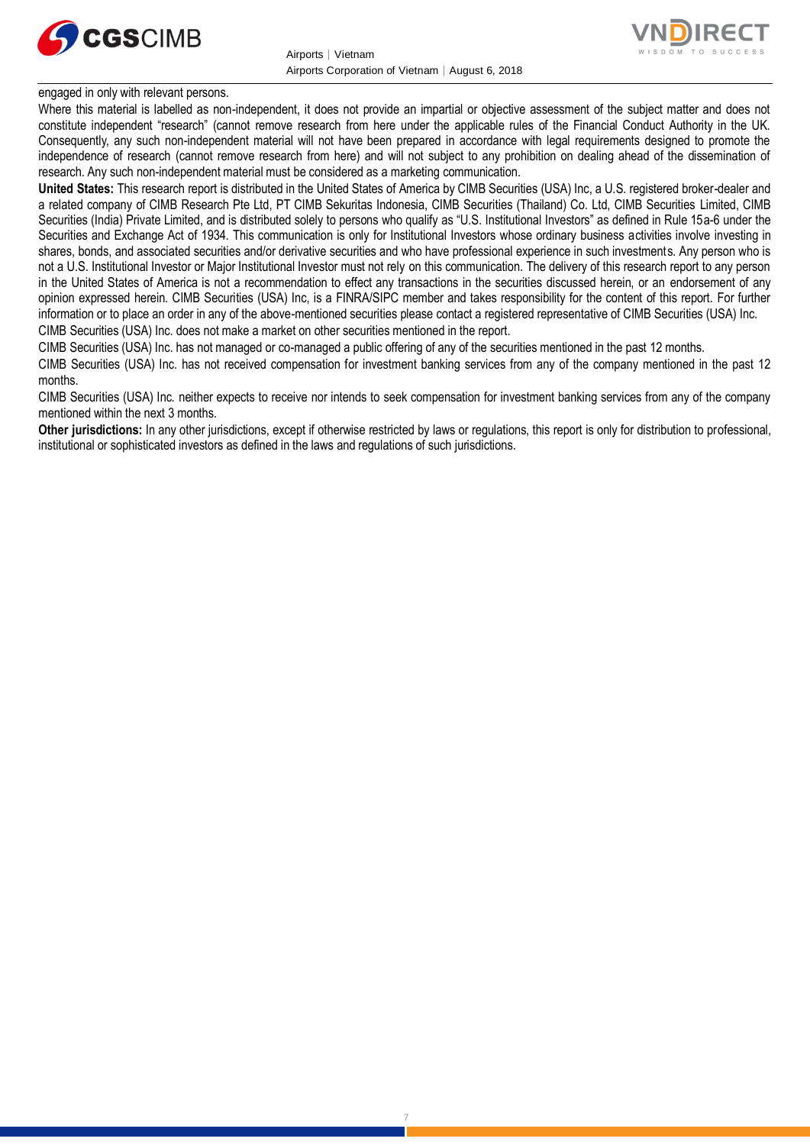



engaged in only with relevant persons.

Where this material is labelled as non-independent, it does not provide an impartial or objective assessment of the subject matter and does not constitute independent "research" (cannot remove research from here under the applicable rules of the Financial Conduct Authority in the UK. Consequently, any such non-independent material will not have been prepared in accordance with legal requirements designed to promote the independence of research (cannot remove research from here) and will not subject to any prohibition on dealing ahead of the dissemination of research. Any such non-independent material must be considered as a marketing communication.

**United States:** This research report is distributed in the United States of America by CIMB Securities (USA) Inc, a U.S. registered broker-dealer and a related company of CIMB Research Pte Ltd, PT CIMB Sekuritas Indonesia, CIMB Securities (Thailand) Co. Ltd, CIMB Securities Limited, CIMB Securities (India) Private Limited, and is distributed solely to persons who qualify as "U.S. Institutional Investors" as defined in Rule 15a-6 under the Securities and Exchange Act of 1934. This communication is only for Institutional Investors whose ordinary business activities involve investing in shares, bonds, and associated securities and/or derivative securities and who have professional experience in such investments. Any person who is not a U.S. Institutional Investor or Major Institutional Investor must not rely on this communication. The delivery of this research report to any person in the United States of America is not a recommendation to effect any transactions in the securities discussed herein, or an endorsement of any opinion expressed herein. CIMB Securities (USA) Inc, is a FINRA/SIPC member and takes responsibility for the content of this report. For further information or to place an order in any of the above-mentioned securities please contact a registered representative of CIMB Securities (USA) Inc. CIMB Securities (USA) Inc. does not make a market on other securities mentioned in the report.

CIMB Securities (USA) Inc. has not managed or co-managed a public offering of any of the securities mentioned in the past 12 months.

CIMB Securities (USA) Inc. has not received compensation for investment banking services from any of the company mentioned in the past 12 months.

CIMB Securities (USA) Inc. neither expects to receive nor intends to seek compensation for investment banking services from any of the company mentioned within the next 3 months.

Other jurisdictions: In any other jurisdictions, except if otherwise restricted by laws or regulations, this report is only for distribution to professional, institutional or sophisticated investors as defined in the laws and regulations of such jurisdictions.